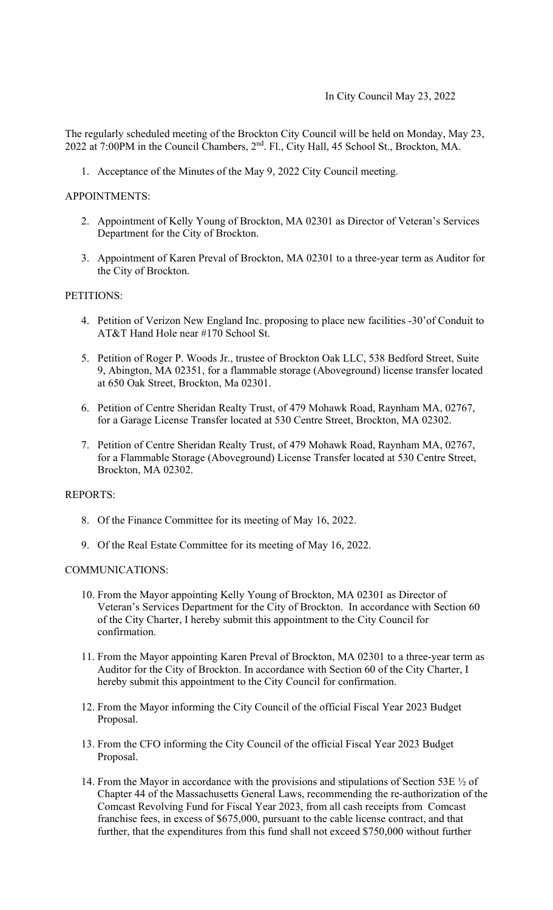The regularly scheduled meeting of the Brockton City Council will be held on Monday, May 23, 2022 at 7:00PM in the Council Chambers, 2nd. Fl., City Hall, 45 School St., Brockton, MA.

1. Acceptance of the Minutes of the May 9, 2022 City Council meeting.

## APPOINTMENTS:

- 2. Appointment of Kelly Young of Brockton, MA 02301 as Director of Veteran's Services Department for the City of Brockton.
- 3. Appointment of Karen Preval of Brockton, MA 02301 to a three-year term as Auditor for the City of Brockton.

# PETITIONS:

- 4. Petition of Verizon New England Inc. proposing to place new facilities -30'of Conduit to AT&T Hand Hole near #170 School St.
- 5. Petition of Roger P. Woods Jr., trustee of Brockton Oak LLC, 538 Bedford Street, Suite 9, Abington, MA 02351, for a flammable storage (Aboveground) license transfer located at 650 Oak Street, Brockton, Ma 02301.
- 6. Petition of Centre Sheridan Realty Trust, of 479 Mohawk Road, Raynham MA, 02767, for a Garage License Transfer located at 530 Centre Street, Brockton, MA 02302.
- 7. Petition of Centre Sheridan Realty Trust, of 479 Mohawk Road, Raynham MA, 02767, for a Flammable Storage (Aboveground) License Transfer located at 530 Centre Street, Brockton, MA 02302.

## REPORTS:

- 8. Of the Finance Committee for its meeting of May 16, 2022.
- 9. Of the Real Estate Committee for its meeting of May 16, 2022.

#### COMMUNICATIONS:

- 10. From the Mayor appointing Kelly Young of Brockton, MA 02301 as Director of Veteran's Services Department for the City of Brockton. In accordance with Section 60 of the City Charter, I hereby submit this appointment to the City Council for confirmation.
- 11. From the Mayor appointing Karen Preval of Brockton, MA 02301 to a three-year term as Auditor for the City of Brockton. In accordance with Section 60 of the City Charter, I hereby submit this appointment to the City Council for confirmation.
- 12. From the Mayor informing the City Council of the official Fiscal Year 2023 Budget Proposal.
- 13. From the CFO informing the City Council of the official Fiscal Year 2023 Budget Proposal.
- 14. From the Mayor in accordance with the provisions and stipulations of Section 53E ½ of Chapter 44 of the Massachusetts General Laws, recommending the re-authorization of the Comcast Revolving Fund for Fiscal Year 2023, from all cash receipts from Comcast franchise fees, in excess of \$675,000, pursuant to the cable license contract, and that further, that the expenditures from this fund shall not exceed \$750,000 without further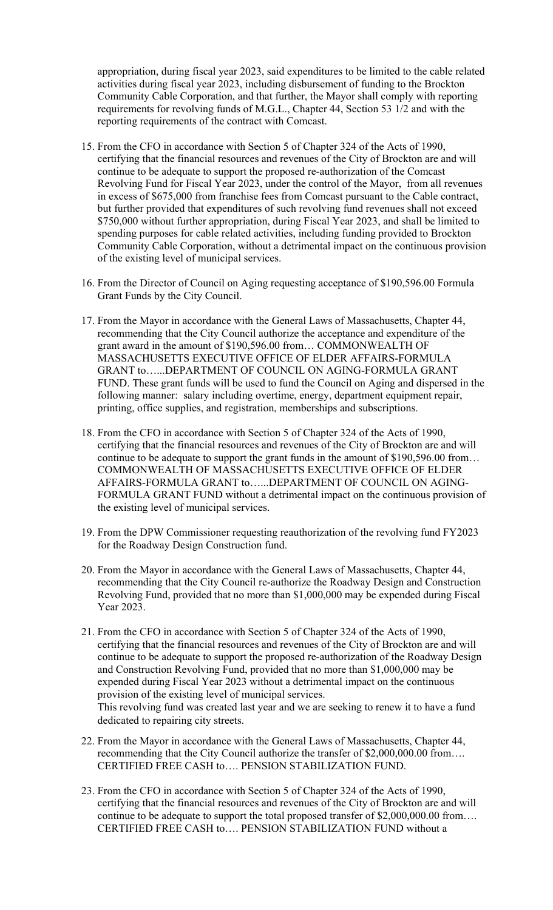appropriation, during fiscal year 2023, said expenditures to be limited to the cable related activities during fiscal year 2023, including disbursement of funding to the Brockton Community Cable Corporation, and that further, the Mayor shall comply with reporting requirements for revolving funds of M.G.L., Chapter 44, Section 53 1/2 and with the reporting requirements of the contract with Comcast.

- 15. From the CFO in accordance with Section 5 of Chapter 324 of the Acts of 1990, certifying that the financial resources and revenues of the City of Brockton are and will continue to be adequate to support the proposed re-authorization of the Comcast Revolving Fund for Fiscal Year 2023, under the control of the Mayor, from all revenues in excess of \$675,000 from franchise fees from Comcast pursuant to the Cable contract, but further provided that expenditures of such revolving fund revenues shall not exceed \$750,000 without further appropriation, during Fiscal Year 2023, and shall be limited to spending purposes for cable related activities, including funding provided to Brockton Community Cable Corporation, without a detrimental impact on the continuous provision of the existing level of municipal services.
- 16. From the Director of Council on Aging requesting acceptance of \$190,596.00 Formula Grant Funds by the City Council.
- 17. From the Mayor in accordance with the General Laws of Massachusetts, Chapter 44, recommending that the City Council authorize the acceptance and expenditure of the grant award in the amount of \$190,596.00 from… COMMONWEALTH OF MASSACHUSETTS EXECUTIVE OFFICE OF ELDER AFFAIRS-FORMULA GRANT to…...DEPARTMENT OF COUNCIL ON AGING-FORMULA GRANT FUND. These grant funds will be used to fund the Council on Aging and dispersed in the following manner: salary including overtime, energy, department equipment repair, printing, office supplies, and registration, memberships and subscriptions.
- 18. From the CFO in accordance with Section 5 of Chapter 324 of the Acts of 1990, certifying that the financial resources and revenues of the City of Brockton are and will continue to be adequate to support the grant funds in the amount of \$190,596.00 from… COMMONWEALTH OF MASSACHUSETTS EXECUTIVE OFFICE OF ELDER AFFAIRS-FORMULA GRANT to…...DEPARTMENT OF COUNCIL ON AGING-FORMULA GRANT FUND without a detrimental impact on the continuous provision of the existing level of municipal services.
- 19. From the DPW Commissioner requesting reauthorization of the revolving fund FY2023 for the Roadway Design Construction fund.
- 20. From the Mayor in accordance with the General Laws of Massachusetts, Chapter 44, recommending that the City Council re-authorize the Roadway Design and Construction Revolving Fund, provided that no more than \$1,000,000 may be expended during Fiscal Year 2023.
- 21. From the CFO in accordance with Section 5 of Chapter 324 of the Acts of 1990, certifying that the financial resources and revenues of the City of Brockton are and will continue to be adequate to support the proposed re-authorization of the Roadway Design and Construction Revolving Fund, provided that no more than \$1,000,000 may be expended during Fiscal Year 2023 without a detrimental impact on the continuous provision of the existing level of municipal services. This revolving fund was created last year and we are seeking to renew it to have a fund dedicated to repairing city streets.
- 22. From the Mayor in accordance with the General Laws of Massachusetts, Chapter 44, recommending that the City Council authorize the transfer of \$2,000,000.00 from…. CERTIFIED FREE CASH to…. PENSION STABILIZATION FUND.
- 23. From the CFO in accordance with Section 5 of Chapter 324 of the Acts of 1990, certifying that the financial resources and revenues of the City of Brockton are and will continue to be adequate to support the total proposed transfer of \$2,000,000.00 from…. CERTIFIED FREE CASH to…. PENSION STABILIZATION FUND without a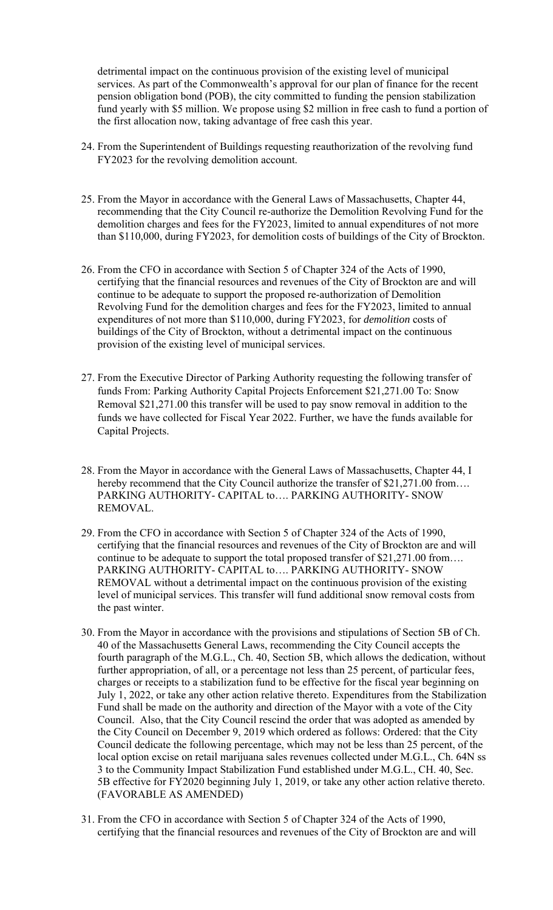detrimental impact on the continuous provision of the existing level of municipal services. As part of the Commonwealth's approval for our plan of finance for the recent pension obligation bond (POB), the city committed to funding the pension stabilization fund yearly with \$5 million. We propose using \$2 million in free cash to fund a portion of the first allocation now, taking advantage of free cash this year.

- 24. From the Superintendent of Buildings requesting reauthorization of the revolving fund FY2023 for the revolving demolition account.
- 25. From the Mayor in accordance with the General Laws of Massachusetts, Chapter 44, recommending that the City Council re-authorize the Demolition Revolving Fund for the demolition charges and fees for the FY2023, limited to annual expenditures of not more than \$110,000, during FY2023, for demolition costs of buildings of the City of Brockton.
- 26. From the CFO in accordance with Section 5 of Chapter 324 of the Acts of 1990, certifying that the financial resources and revenues of the City of Brockton are and will continue to be adequate to support the proposed re-authorization of Demolition Revolving Fund for the demolition charges and fees for the FY2023, limited to annual expenditures of not more than \$110,000, during FY2023, for *demolition* costs of buildings of the City of Brockton, without a detrimental impact on the continuous provision of the existing level of municipal services.
- 27. From the Executive Director of Parking Authority requesting the following transfer of funds From: Parking Authority Capital Projects Enforcement \$21,271.00 To: Snow Removal \$21,271.00 this transfer will be used to pay snow removal in addition to the funds we have collected for Fiscal Year 2022. Further, we have the funds available for Capital Projects.
- 28. From the Mayor in accordance with the General Laws of Massachusetts, Chapter 44, I hereby recommend that the City Council authorize the transfer of \$21,271.00 from.... PARKING AUTHORITY- CAPITAL to…. PARKING AUTHORITY- SNOW REMOVAL.
- 29. From the CFO in accordance with Section 5 of Chapter 324 of the Acts of 1990, certifying that the financial resources and revenues of the City of Brockton are and will continue to be adequate to support the total proposed transfer of \$21,271.00 from…. PARKING AUTHORITY- CAPITAL to…. PARKING AUTHORITY- SNOW REMOVAL without a detrimental impact on the continuous provision of the existing level of municipal services. This transfer will fund additional snow removal costs from the past winter.
- 30. From the Mayor in accordance with the provisions and stipulations of Section 5B of Ch. 40 of the Massachusetts General Laws, recommending the City Council accepts the fourth paragraph of the M.G.L., Ch. 40, Section 5B, which allows the dedication, without further appropriation, of all, or a percentage not less than 25 percent, of particular fees, charges or receipts to a stabilization fund to be effective for the fiscal year beginning on July 1, 2022, or take any other action relative thereto. Expenditures from the Stabilization Fund shall be made on the authority and direction of the Mayor with a vote of the City Council. Also, that the City Council rescind the order that was adopted as amended by the City Council on December 9, 2019 which ordered as follows: Ordered: that the City Council dedicate the following percentage, which may not be less than 25 percent, of the local option excise on retail marijuana sales revenues collected under M.G.L., Ch. 64N ss 3 to the Community Impact Stabilization Fund established under M.G.L., CH. 40, Sec. 5B effective for FY2020 beginning July 1, 2019, or take any other action relative thereto. (FAVORABLE AS AMENDED)
- 31. From the CFO in accordance with Section 5 of Chapter 324 of the Acts of 1990, certifying that the financial resources and revenues of the City of Brockton are and will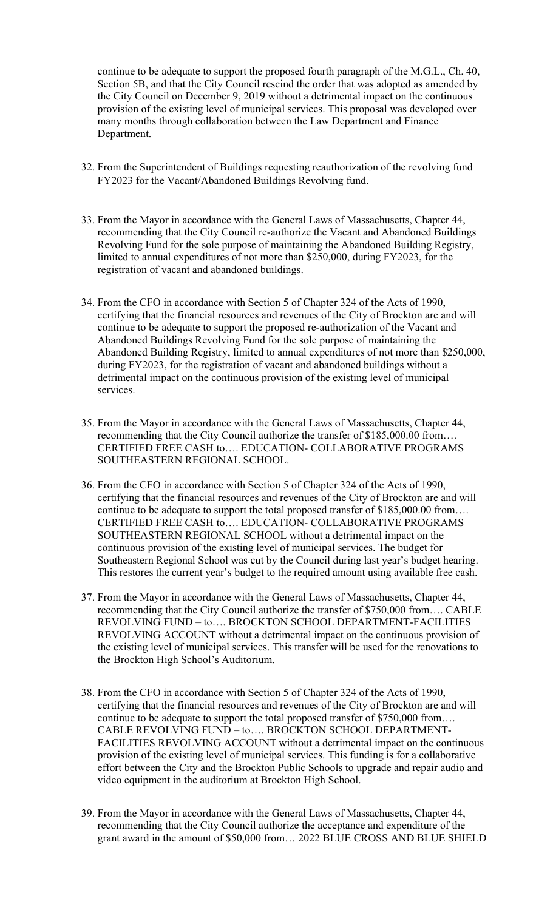continue to be adequate to support the proposed fourth paragraph of the M.G.L., Ch. 40, Section 5B, and that the City Council rescind the order that was adopted as amended by the City Council on December 9, 2019 without a detrimental impact on the continuous provision of the existing level of municipal services. This proposal was developed over many months through collaboration between the Law Department and Finance Department.

- 32. From the Superintendent of Buildings requesting reauthorization of the revolving fund FY2023 for the Vacant/Abandoned Buildings Revolving fund.
- 33. From the Mayor in accordance with the General Laws of Massachusetts, Chapter 44, recommending that the City Council re-authorize the Vacant and Abandoned Buildings Revolving Fund for the sole purpose of maintaining the Abandoned Building Registry, limited to annual expenditures of not more than \$250,000, during FY2023, for the registration of vacant and abandoned buildings.
- 34. From the CFO in accordance with Section 5 of Chapter 324 of the Acts of 1990, certifying that the financial resources and revenues of the City of Brockton are and will continue to be adequate to support the proposed re-authorization of the Vacant and Abandoned Buildings Revolving Fund for the sole purpose of maintaining the Abandoned Building Registry, limited to annual expenditures of not more than \$250,000, during FY2023, for the registration of vacant and abandoned buildings without a detrimental impact on the continuous provision of the existing level of municipal services.
- 35. From the Mayor in accordance with the General Laws of Massachusetts, Chapter 44, recommending that the City Council authorize the transfer of \$185,000.00 from…. CERTIFIED FREE CASH to…. EDUCATION- COLLABORATIVE PROGRAMS SOUTHEASTERN REGIONAL SCHOOL.
- 36. From the CFO in accordance with Section 5 of Chapter 324 of the Acts of 1990, certifying that the financial resources and revenues of the City of Brockton are and will continue to be adequate to support the total proposed transfer of \$185,000.00 from…. CERTIFIED FREE CASH to…. EDUCATION- COLLABORATIVE PROGRAMS SOUTHEASTERN REGIONAL SCHOOL without a detrimental impact on the continuous provision of the existing level of municipal services. The budget for Southeastern Regional School was cut by the Council during last year's budget hearing. This restores the current year's budget to the required amount using available free cash.
- 37. From the Mayor in accordance with the General Laws of Massachusetts, Chapter 44, recommending that the City Council authorize the transfer of \$750,000 from…. CABLE REVOLVING FUND – to…. BROCKTON SCHOOL DEPARTMENT-FACILITIES REVOLVING ACCOUNT without a detrimental impact on the continuous provision of the existing level of municipal services. This transfer will be used for the renovations to the Brockton High School's Auditorium.
- 38. From the CFO in accordance with Section 5 of Chapter 324 of the Acts of 1990, certifying that the financial resources and revenues of the City of Brockton are and will continue to be adequate to support the total proposed transfer of \$750,000 from…. CABLE REVOLVING FUND – to…. BROCKTON SCHOOL DEPARTMENT-FACILITIES REVOLVING ACCOUNT without a detrimental impact on the continuous provision of the existing level of municipal services. This funding is for a collaborative effort between the City and the Brockton Public Schools to upgrade and repair audio and video equipment in the auditorium at Brockton High School.
- 39. From the Mayor in accordance with the General Laws of Massachusetts, Chapter 44, recommending that the City Council authorize the acceptance and expenditure of the grant award in the amount of \$50,000 from… 2022 BLUE CROSS AND BLUE SHIELD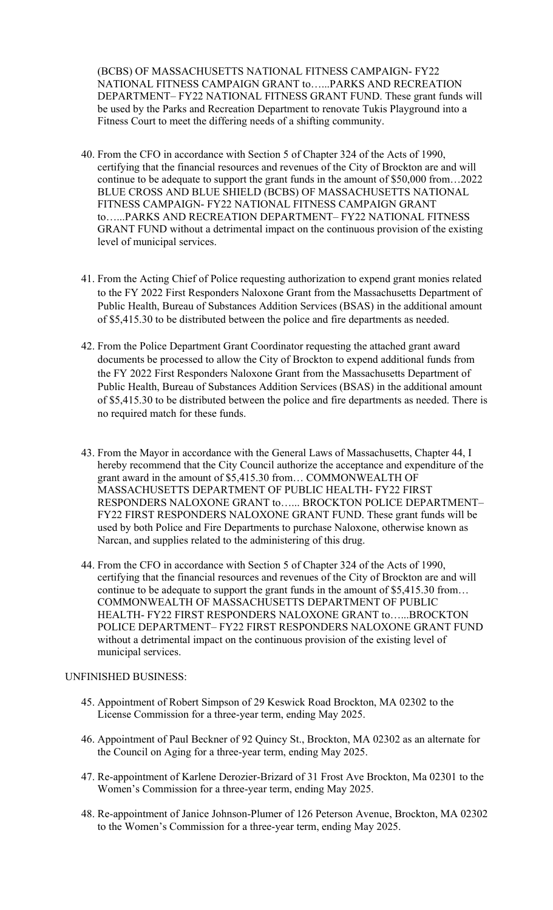(BCBS) OF MASSACHUSETTS NATIONAL FITNESS CAMPAIGN- FY22 NATIONAL FITNESS CAMPAIGN GRANT to…...PARKS AND RECREATION DEPARTMENT– FY22 NATIONAL FITNESS GRANT FUND. These grant funds will be used by the Parks and Recreation Department to renovate Tukis Playground into a Fitness Court to meet the differing needs of a shifting community.

- 40. From the CFO in accordance with Section 5 of Chapter 324 of the Acts of 1990, certifying that the financial resources and revenues of the City of Brockton are and will continue to be adequate to support the grant funds in the amount of \$50,000 from…2022 BLUE CROSS AND BLUE SHIELD (BCBS) OF MASSACHUSETTS NATIONAL FITNESS CAMPAIGN- FY22 NATIONAL FITNESS CAMPAIGN GRANT to…...PARKS AND RECREATION DEPARTMENT– FY22 NATIONAL FITNESS GRANT FUND without a detrimental impact on the continuous provision of the existing level of municipal services.
- 41. From the Acting Chief of Police requesting authorization to expend grant monies related to the FY 2022 First Responders Naloxone Grant from the Massachusetts Department of Public Health, Bureau of Substances Addition Services (BSAS) in the additional amount of \$5,415.30 to be distributed between the police and fire departments as needed.
- 42. From the Police Department Grant Coordinator requesting the attached grant award documents be processed to allow the City of Brockton to expend additional funds from the FY 2022 First Responders Naloxone Grant from the Massachusetts Department of Public Health, Bureau of Substances Addition Services (BSAS) in the additional amount of \$5,415.30 to be distributed between the police and fire departments as needed. There is no required match for these funds.
- Narcan, and supplies related to the administering of this drug. 43. From the Mayor in accordance with the General Laws of Massachusetts, Chapter 44, I hereby recommend that the City Council authorize the acceptance and expenditure of the grant award in the amount of \$5,415.30 from… COMMONWEALTH OF MASSACHUSETTS DEPARTMENT OF PUBLIC HEALTH- FY22 FIRST RESPONDERS NALOXONE GRANT to…... BROCKTON POLICE DEPARTMENT– FY22 FIRST RESPONDERS NALOXONE GRANT FUND. These grant funds will be used by both Police and Fire Departments to purchase Naloxone, otherwise known as
- 44. From the CFO in accordance with Section 5 of Chapter 324 of the Acts of 1990, certifying that the financial resources and revenues of the City of Brockton are and will continue to be adequate to support the grant funds in the amount of \$5,415.30 from… COMMONWEALTH OF MASSACHUSETTS DEPARTMENT OF PUBLIC HEALTH- FY22 FIRST RESPONDERS NALOXONE GRANT to…...BROCKTON POLICE DEPARTMENT– FY22 FIRST RESPONDERS NALOXONE GRANT FUND without a detrimental impact on the continuous provision of the existing level of municipal services.

## UNFINISHED BUSINESS:

- 45. Appointment of Robert Simpson of 29 Keswick Road Brockton, MA 02302 to the License Commission for a three-year term, ending May 2025.
- 46. Appointment of Paul Beckner of 92 Quincy St., Brockton, MA 02302 as an alternate for the Council on Aging for a three-year term, ending May 2025.
- 47. Re-appointment of Karlene Derozier-Brizard of 31 Frost Ave Brockton, Ma 02301 to the Women's Commission for a three-year term, ending May 2025.
- 48. Re-appointment of Janice Johnson-Plumer of 126 Peterson Avenue, Brockton, MA 02302 to the Women's Commission for a three-year term, ending May 2025.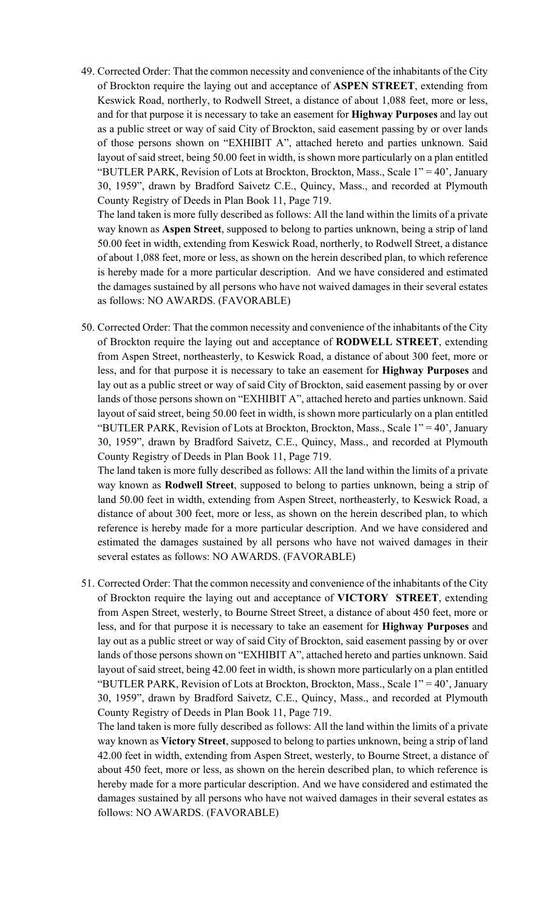layout of said street, being 50.00 feet in width, is shown more particularly on a plan entitled 49. Corrected Order: That the common necessity and convenience of the inhabitants of the City of Brockton require the laying out and acceptance of **ASPEN STREET**, extending from Keswick Road, northerly, to Rodwell Street, a distance of about 1,088 feet, more or less, and for that purpose it is necessary to take an easement for **Highway Purposes** and lay out as a public street or way of said City of Brockton, said easement passing by or over lands of those persons shown on "EXHIBIT A", attached hereto and parties unknown. Said "BUTLER PARK, Revision of Lots at Brockton, Brockton, Mass., Scale 1" = 40', January 30, 1959", drawn by Bradford Saivetz C.E., Quincy, Mass., and recorded at Plymouth County Registry of Deeds in Plan Book 11, Page 719.

The land taken is more fully described as follows: All the land within the limits of a private way known as **Aspen Street**, supposed to belong to parties unknown, being a strip of land 50.00 feet in width, extending from Keswick Road, northerly, to Rodwell Street, a distance of about 1,088 feet, more or less, as shown on the herein described plan, to which reference is hereby made for a more particular description. And we have considered and estimated the damages sustained by all persons who have not waived damages in their several estates as follows: NO AWARDS. (FAVORABLE)

 layout of said street, being 50.00 feet in width, is shown more particularly on a plan entitled 50. Corrected Order: That the common necessity and convenience of the inhabitants of the City of Brockton require the laying out and acceptance of **RODWELL STREET**, extending from Aspen Street, northeasterly, to Keswick Road, a distance of about 300 feet, more or less, and for that purpose it is necessary to take an easement for **Highway Purposes** and lay out as a public street or way of said City of Brockton, said easement passing by or over lands of those persons shown on "EXHIBIT A", attached hereto and parties unknown. Said "BUTLER PARK, Revision of Lots at Brockton, Brockton, Mass., Scale 1" = 40', January 30, 1959", drawn by Bradford Saivetz, C.E., Quincy, Mass., and recorded at Plymouth County Registry of Deeds in Plan Book 11, Page 719.

 reference is hereby made for a more particular description. And we have considered and The land taken is more fully described as follows: All the land within the limits of a private way known as **Rodwell Street**, supposed to belong to parties unknown, being a strip of land 50.00 feet in width, extending from Aspen Street, northeasterly, to Keswick Road, a distance of about 300 feet, more or less, as shown on the herein described plan, to which estimated the damages sustained by all persons who have not waived damages in their several estates as follows: NO AWARDS. (FAVORABLE)

 layout of said street, being 42.00 feet in width, is shown more particularly on a plan entitled 51. Corrected Order: That the common necessity and convenience of the inhabitants of the City of Brockton require the laying out and acceptance of **VICTORY STREET**, extending from Aspen Street, westerly, to Bourne Street Street, a distance of about 450 feet, more or less, and for that purpose it is necessary to take an easement for **Highway Purposes** and lay out as a public street or way of said City of Brockton, said easement passing by or over lands of those persons shown on "EXHIBIT A", attached hereto and parties unknown. Said "BUTLER PARK, Revision of Lots at Brockton, Brockton, Mass., Scale 1" = 40', January 30, 1959", drawn by Bradford Saivetz, C.E., Quincy, Mass., and recorded at Plymouth County Registry of Deeds in Plan Book 11, Page 719.

The land taken is more fully described as follows: All the land within the limits of a private way known as **Victory Street**, supposed to belong to parties unknown, being a strip of land 42.00 feet in width, extending from Aspen Street, westerly, to Bourne Street, a distance of about 450 feet, more or less, as shown on the herein described plan, to which reference is hereby made for a more particular description. And we have considered and estimated the damages sustained by all persons who have not waived damages in their several estates as follows: NO AWARDS. (FAVORABLE)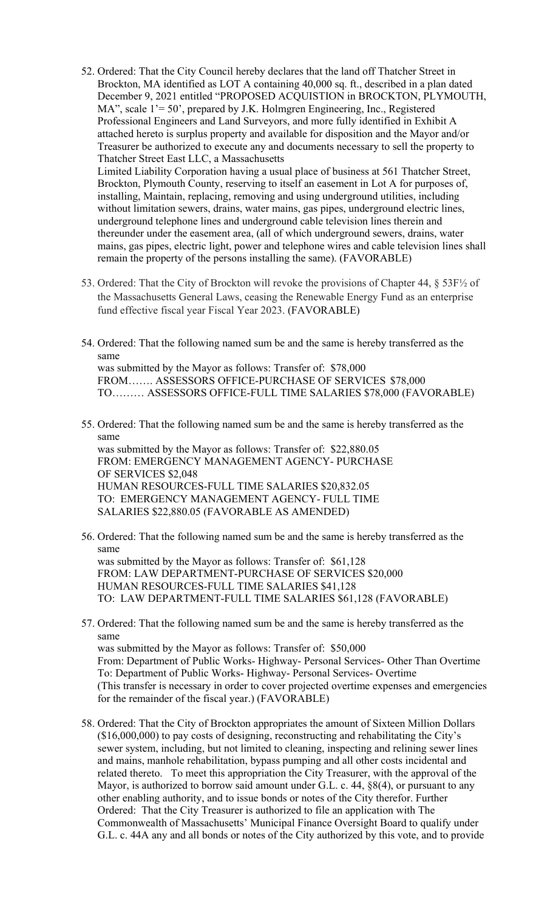- 52. Ordered: That the City Council hereby declares that the land off Thatcher Street in Brockton, MA identified as LOT A containing 40,000 sq. ft., described in a plan dated December 9, 2021 entitled "PROPOSED ACQUISTION in BROCKTON, PLYMOUTH, MA", scale 1'= 50', prepared by J.K. Holmgren Engineering, Inc., Registered Professional Engineers and Land Surveyors, and more fully identified in Exhibit A attached hereto is surplus property and available for disposition and the Mayor and/or Treasurer be authorized to execute any and documents necessary to sell the property to Thatcher Street East LLC, a Massachusetts Limited Liability Corporation having a usual place of business at 561 Thatcher Street, Brockton, Plymouth County, reserving to itself an easement in Lot A for purposes of, installing, Maintain, replacing, removing and using underground utilities, including without limitation sewers, drains, water mains, gas pipes, underground electric lines, underground telephone lines and underground cable television lines therein and
	- thereunder under the easement area, (all of which underground sewers, drains, water mains, gas pipes, electric light, power and telephone wires and cable television lines shall remain the property of the persons installing the same). (FAVORABLE)
- 53. Ordered: That the City of Brockton will revoke the provisions of Chapter 44, § 53F½ of the Massachusetts General Laws, ceasing the Renewable Energy Fund as an enterprise fund effective fiscal year Fiscal Year 2023. (FAVORABLE)
- 54. Ordered: That the following named sum be and the same is hereby transferred as the same was submitted by the Mayor as follows: Transfer of: \$78,000 FROM……. ASSESSORS OFFICE-PURCHASE OF SERVICES \$78,000 TO……… ASSESSORS OFFICE-FULL TIME SALARIES \$78,000 (FAVORABLE)
- same 55. Ordered: That the following named sum be and the same is hereby transferred as the was submitted by the Mayor as follows: Transfer of: \$22,880.05 FROM: EMERGENCY MANAGEMENT AGENCY- PURCHASE OF SERVICES \$2,048 HUMAN RESOURCES-FULL TIME SALARIES \$20,832.05 TO: EMERGENCY MANAGEMENT AGENCY- FULL TIME SALARIES \$22,880.05 (FAVORABLE AS AMENDED)
- same 56. Ordered: That the following named sum be and the same is hereby transferred as the was submitted by the Mayor as follows: Transfer of: \$61,128 FROM: LAW DEPARTMENT-PURCHASE OF SERVICES \$20,000 HUMAN RESOURCES-FULL TIME SALARIES \$41,128 TO: LAW DEPARTMENT-FULL TIME SALARIES \$61,128 (FAVORABLE)
- same 57. Ordered: That the following named sum be and the same is hereby transferred as the was submitted by the Mayor as follows: Transfer of: \$50,000 From: Department of Public Works- Highway- Personal Services- Other Than Overtime To: Department of Public Works- Highway- Personal Services- Overtime (This transfer is necessary in order to cover projected overtime expenses and emergencies for the remainder of the fiscal year.) (FAVORABLE)
- 58. Ordered: That the City of Brockton appropriates the amount of Sixteen Million Dollars (\$16,000,000) to pay costs of designing, reconstructing and rehabilitating the City's sewer system, including, but not limited to cleaning, inspecting and relining sewer lines and mains, manhole rehabilitation, bypass pumping and all other costs incidental and related thereto. To meet this appropriation the City Treasurer, with the approval of the Mayor, is authorized to borrow said amount under G.L. c. 44, §8(4), or pursuant to any other enabling authority, and to issue bonds or notes of the City therefor. Further Ordered: That the City Treasurer is authorized to file an application with The Commonwealth of Massachusetts' Municipal Finance Oversight Board to qualify under G.L. c. 44A any and all bonds or notes of the City authorized by this vote, and to provide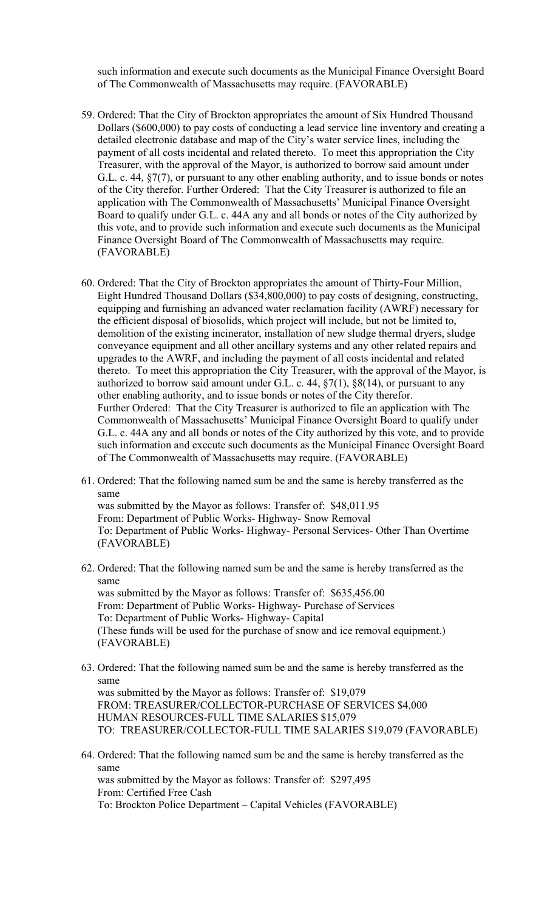such information and execute such documents as the Municipal Finance Oversight Board of The Commonwealth of Massachusetts may require. (FAVORABLE)

- 59. Ordered: That the City of Brockton appropriates the amount of Six Hundred Thousand Dollars (\$600,000) to pay costs of conducting a lead service line inventory and creating a detailed electronic database and map of the City's water service lines, including the payment of all costs incidental and related thereto. To meet this appropriation the City Treasurer, with the approval of the Mayor, is authorized to borrow said amount under G.L. c. 44, §7(7), or pursuant to any other enabling authority, and to issue bonds or notes of the City therefor. Further Ordered: That the City Treasurer is authorized to file an application with The Commonwealth of Massachusetts' Municipal Finance Oversight Board to qualify under G.L. c. 44A any and all bonds or notes of the City authorized by this vote, and to provide such information and execute such documents as the Municipal Finance Oversight Board of The Commonwealth of Massachusetts may require. (FAVORABLE)
- 60. Ordered: That the City of Brockton appropriates the amount of Thirty-Four Million, Eight Hundred Thousand Dollars (\$34,800,000) to pay costs of designing, constructing, equipping and furnishing an advanced water reclamation facility (AWRF) necessary for the efficient disposal of biosolids, which project will include, but not be limited to, demolition of the existing incinerator, installation of new sludge thermal dryers, sludge conveyance equipment and all other ancillary systems and any other related repairs and upgrades to the AWRF, and including the payment of all costs incidental and related thereto. To meet this appropriation the City Treasurer, with the approval of the Mayor, is authorized to borrow said amount under G.L. c. 44,  $\S7(1)$ ,  $\S8(14)$ , or pursuant to any other enabling authority, and to issue bonds or notes of the City therefor. Further Ordered: That the City Treasurer is authorized to file an application with The Commonwealth of Massachusetts' Municipal Finance Oversight Board to qualify under G.L. c. 44A any and all bonds or notes of the City authorized by this vote, and to provide such information and execute such documents as the Municipal Finance Oversight Board of The Commonwealth of Massachusetts may require. (FAVORABLE)
- same 61. Ordered: That the following named sum be and the same is hereby transferred as the was submitted by the Mayor as follows: Transfer of: \$48,011.95 From: Department of Public Works- Highway- Snow Removal To: Department of Public Works- Highway- Personal Services- Other Than Overtime (FAVORABLE)
- same 62. Ordered: That the following named sum be and the same is hereby transferred as the was submitted by the Mayor as follows: Transfer of: \$635,456.00 From: Department of Public Works- Highway- Purchase of Services To: Department of Public Works- Highway- Capital (These funds will be used for the purchase of snow and ice removal equipment.) (FAVORABLE)
- same 63. Ordered: That the following named sum be and the same is hereby transferred as the was submitted by the Mayor as follows: Transfer of: \$19,079 FROM: TREASURER/COLLECTOR-PURCHASE OF SERVICES \$4,000 HUMAN RESOURCES-FULL TIME SALARIES \$15,079 TO: TREASURER/COLLECTOR-FULL TIME SALARIES \$19,079 (FAVORABLE)
- same 64. Ordered: That the following named sum be and the same is hereby transferred as the was submitted by the Mayor as follows: Transfer of: \$297,495 From: Certified Free Cash To: Brockton Police Department – Capital Vehicles (FAVORABLE)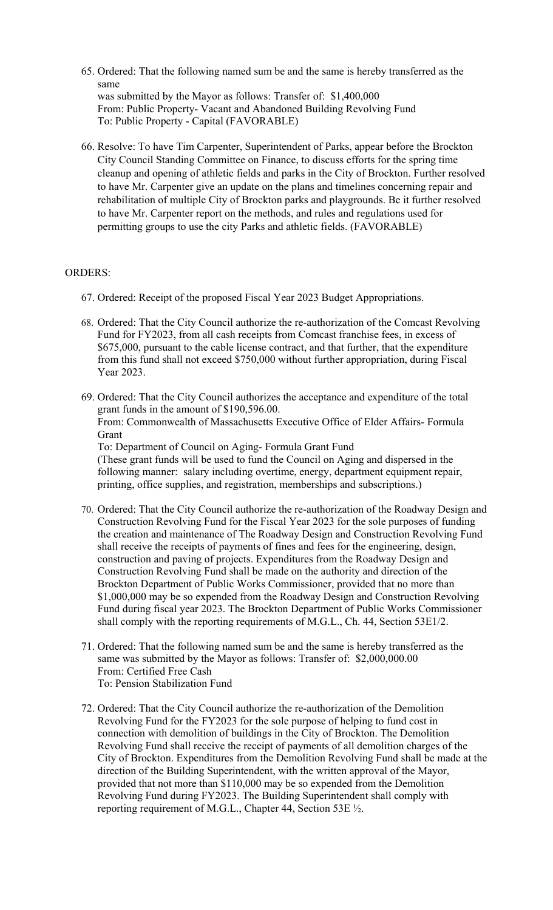- same 65. Ordered: That the following named sum be and the same is hereby transferred as the was submitted by the Mayor as follows: Transfer of: \$1,400,000 From: Public Property- Vacant and Abandoned Building Revolving Fund To: Public Property - Capital (FAVORABLE)
- 66. Resolve: To have Tim Carpenter, Superintendent of Parks, appear before the Brockton City Council Standing Committee on Finance, to discuss efforts for the spring time cleanup and opening of athletic fields and parks in the City of Brockton. Further resolved to have Mr. Carpenter give an update on the plans and timelines concerning repair and rehabilitation of multiple City of Brockton parks and playgrounds. Be it further resolved to have Mr. Carpenter report on the methods, and rules and regulations used for permitting groups to use the city Parks and athletic fields. (FAVORABLE)

## ORDERS:

- 67. Ordered: Receipt of the proposed Fiscal Year 2023 Budget Appropriations.
- 68. Ordered: That the City Council authorize the re-authorization of the Comcast Revolving Fund for FY2023, from all cash receipts from Comcast franchise fees, in excess of \$675,000, pursuant to the cable license contract, and that further, that the expenditure from this fund shall not exceed \$750,000 without further appropriation, during Fiscal Year 2023.
- 69. Ordered: That the City Council authorizes the acceptance and expenditure of the total grant funds in the amount of \$190,596.00. From: Commonwealth of Massachusetts Executive Office of Elder Affairs- Formula Grant To: Department of Council on Aging- Formula Grant Fund (These grant funds will be used to fund the Council on Aging and dispersed in the following manner: salary including overtime, energy, department equipment repair,

printing, office supplies, and registration, memberships and subscriptions.)

- 70. Ordered: That the City Council authorize the re-authorization of the Roadway Design and Construction Revolving Fund for the Fiscal Year 2023 for the sole purposes of funding the creation and maintenance of The Roadway Design and Construction Revolving Fund shall receive the receipts of payments of fines and fees for the engineering, design, construction and paving of projects. Expenditures from the Roadway Design and Construction Revolving Fund shall be made on the authority and direction of the Brockton Department of Public Works Commissioner, provided that no more than \$1,000,000 may be so expended from the Roadway Design and Construction Revolving Fund during fiscal year 2023. The Brockton Department of Public Works Commissioner shall comply with the reporting requirements of M.G.L., Ch. 44, Section 53E1/2.
- 71. Ordered: That the following named sum be and the same is hereby transferred as the same was submitted by the Mayor as follows: Transfer of: \$2,000,000.00 From: Certified Free Cash To: Pension Stabilization Fund
- 72. Ordered: That the City Council authorize the re-authorization of the Demolition Revolving Fund for the FY2023 for the sole purpose of helping to fund cost in connection with demolition of buildings in the City of Brockton. The Demolition Revolving Fund shall receive the receipt of payments of all demolition charges of the City of Brockton. Expenditures from the Demolition Revolving Fund shall be made at the direction of the Building Superintendent, with the written approval of the Mayor, provided that not more than \$110,000 may be so expended from the Demolition Revolving Fund during FY2023. The Building Superintendent shall comply with reporting requirement of M.G.L., Chapter 44, Section 53E ½.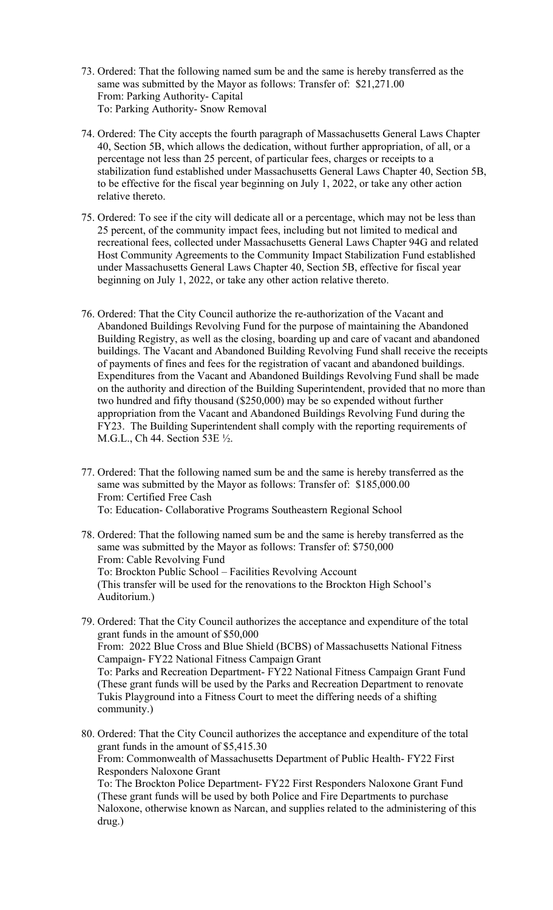- 73. Ordered: That the following named sum be and the same is hereby transferred as the same was submitted by the Mayor as follows: Transfer of: \$21,271.00 From: Parking Authority- Capital To: Parking Authority- Snow Removal
- 74. Ordered: The City accepts the fourth paragraph of Massachusetts General Laws Chapter 40, Section 5B, which allows the dedication, without further appropriation, of all, or a percentage not less than 25 percent, of particular fees, charges or receipts to a stabilization fund established under Massachusetts General Laws Chapter 40, Section 5B, to be effective for the fiscal year beginning on July 1, 2022, or take any other action relative thereto.
- 75. Ordered: To see if the city will dedicate all or a percentage, which may not be less than 25 percent, of the community impact fees, including but not limited to medical and recreational fees, collected under Massachusetts General Laws Chapter 94G and related Host Community Agreements to the Community Impact Stabilization Fund established under Massachusetts General Laws Chapter 40, Section 5B, effective for fiscal year beginning on July 1, 2022, or take any other action relative thereto.
- 76. Ordered: That the City Council authorize the re-authorization of the Vacant and Abandoned Buildings Revolving Fund for the purpose of maintaining the Abandoned Building Registry, as well as the closing, boarding up and care of vacant and abandoned buildings. The Vacant and Abandoned Building Revolving Fund shall receive the receipts of payments of fines and fees for the registration of vacant and abandoned buildings. Expenditures from the Vacant and Abandoned Buildings Revolving Fund shall be made on the authority and direction of the Building Superintendent, provided that no more than two hundred and fifty thousand (\$250,000) may be so expended without further appropriation from the Vacant and Abandoned Buildings Revolving Fund during the FY23. The Building Superintendent shall comply with the reporting requirements of M.G.L., Ch 44. Section 53E ½.
- 77. Ordered: That the following named sum be and the same is hereby transferred as the same was submitted by the Mayor as follows: Transfer of: \$185,000.00 From: Certified Free Cash To: Education- Collaborative Programs Southeastern Regional School
- 78. Ordered: That the following named sum be and the same is hereby transferred as the same was submitted by the Mayor as follows: Transfer of: \$750,000 From: Cable Revolving Fund To: Brockton Public School – Facilities Revolving Account (This transfer will be used for the renovations to the Brockton High School's Auditorium.)
- 79. Ordered: That the City Council authorizes the acceptance and expenditure of the total grant funds in the amount of \$50,000 From: 2022 Blue Cross and Blue Shield (BCBS) of Massachusetts National Fitness Campaign- FY22 National Fitness Campaign Grant To: Parks and Recreation Department- FY22 National Fitness Campaign Grant Fund (These grant funds will be used by the Parks and Recreation Department to renovate Tukis Playground into a Fitness Court to meet the differing needs of a shifting community.)
- 80. Ordered: That the City Council authorizes the acceptance and expenditure of the total grant funds in the amount of \$5,415.30 From: Commonwealth of Massachusetts Department of Public Health- FY22 First Responders Naloxone Grant To: The Brockton Police Department- FY22 First Responders Naloxone Grant Fund (These grant funds will be used by both Police and Fire Departments to purchase

Naloxone, otherwise known as Narcan, and supplies related to the administering of this drug.)